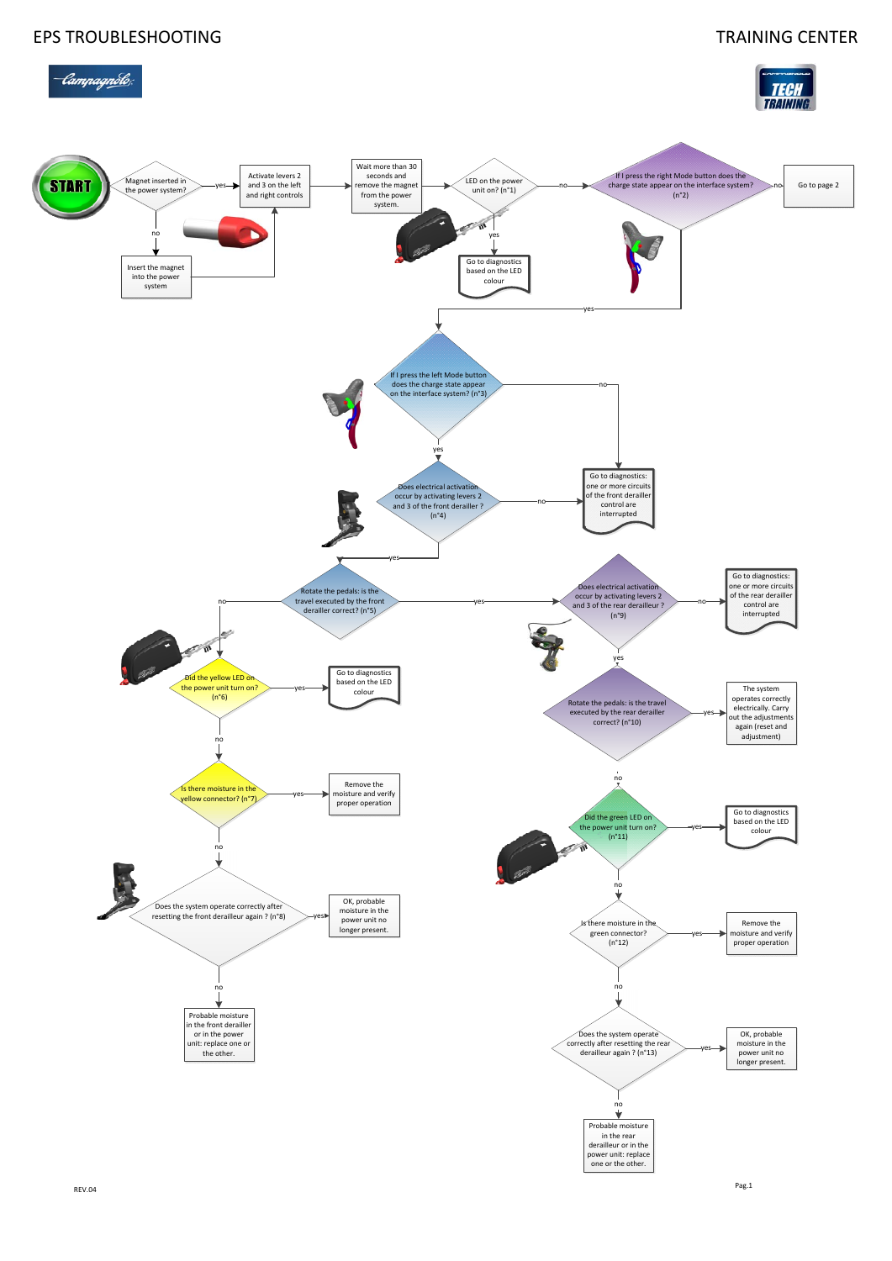

## EPS TROUBLESHOOTING TRAINING CENTER